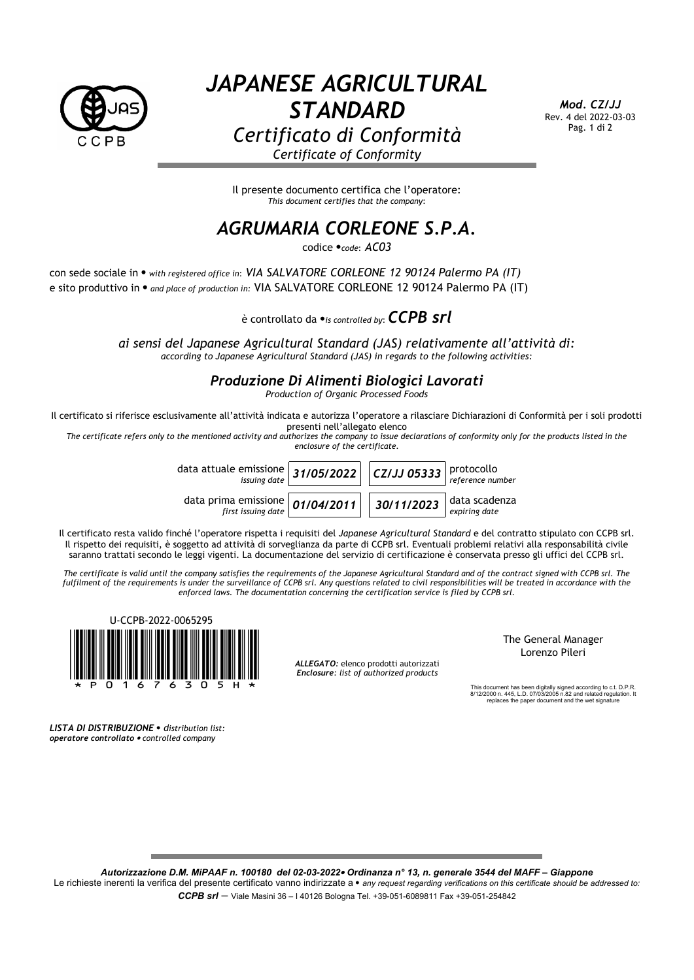

## *JAPANESE AGRICULTURAL STANDARD Certificato di Conformità Certificate of Conformity*

*Mod. CZ/JJ* Rev. 4 del 2022-03-03 Pag. 1 di 2

Il presente documento certifica che l'operatore: *This document certifies that the company*:

## *AGRUMARIA CORLEONE S.P.A.*

codice *code*: *AC03*

con sede sociale in *with registered office in*: *VIA SALVATORE CORLEONE 12 90124 Palermo PA (IT)* e sito produttivo in  $\bullet$  and place of production in: VIA SALVATORE CORLEONE 12 90124 Palermo PA (IT)

è controllato da *is controlled by*:*CCPB srl*

*ai sensi del Japanese Agricultural Standard (JAS) relativamente all'attività di: according to Japanese Agricultural Standard (JAS) in regards to the following activities:*

## *Produzione Di Alimenti Biologici Lavorati*

*Production of Organic Processed Foods*

Il certificato si riferisce esclusivamente all'attività indicata e autorizza l'operatore a rilasciare Dichiarazioni di Conformità per i soli prodotti presenti nell'allegato elenco

*The certificate refers only to the mentioned activity and authorizes the company to issue declarations of conformity only for the products listed in the enclosure of the certificate.*

data attuale emissione<br>issuing date *issuing date 31/05/2022 CZ/JJ 05333* protocollo *reference number* data prima emissione<br>first issuing date *first issuing date 01/04/2011 30/11/2023* data scadenza *expiring date*

Il certificato resta valido finché l'operatore rispetta i requisiti del *Japanese Agricultural Standard* e del contratto stipulato con CCPB srl. Il rispetto dei requisiti, è soggetto ad attività di sorveglianza da parte di CCPB srl. Eventuali problemi relativi alla responsabilità civile saranno trattati secondo le leggi vigenti. La documentazione del servizio di certificazione è conservata presso gli uffici del CCPB srl.

*The certificate is valid until the company satisfies the requirements of the Japanese Agricultural Standard and of the contract signed with CCPB srl. The fulfilment of the requirements is under the surveillance of CCPB srl. Any questions related to civil responsibilities will be treated in accordance with the enforced laws. The documentation concerning the certification service is filed by CCPB srl.*



The General Manager Lorenzo Pileri

This document has been digitally signed according to c.t. D.P.R. 8/12/2000 n. 445, L.D. 07/03/2005 n.82 and related regulation. It replaces the paper document and the wet signature

*LISTA DI DISTRIBUZIONE distribution list: operatore controllato controlled company*

*Autorizzazione D.M. MiPAAF n. 100180 del 02-03-2022 Ordinanza n° 13, n. generale 3544 del MAFF – Giappone*

Le richieste inerenti la verifica del presente certificato vanno indirizzate a · any request regarding verifications on this certificate should be addressed to: *CCPB srl* – Viale Masini 36 – I 40126 Bologna Tel. +39-051-6089811 Fax +39-051-254842